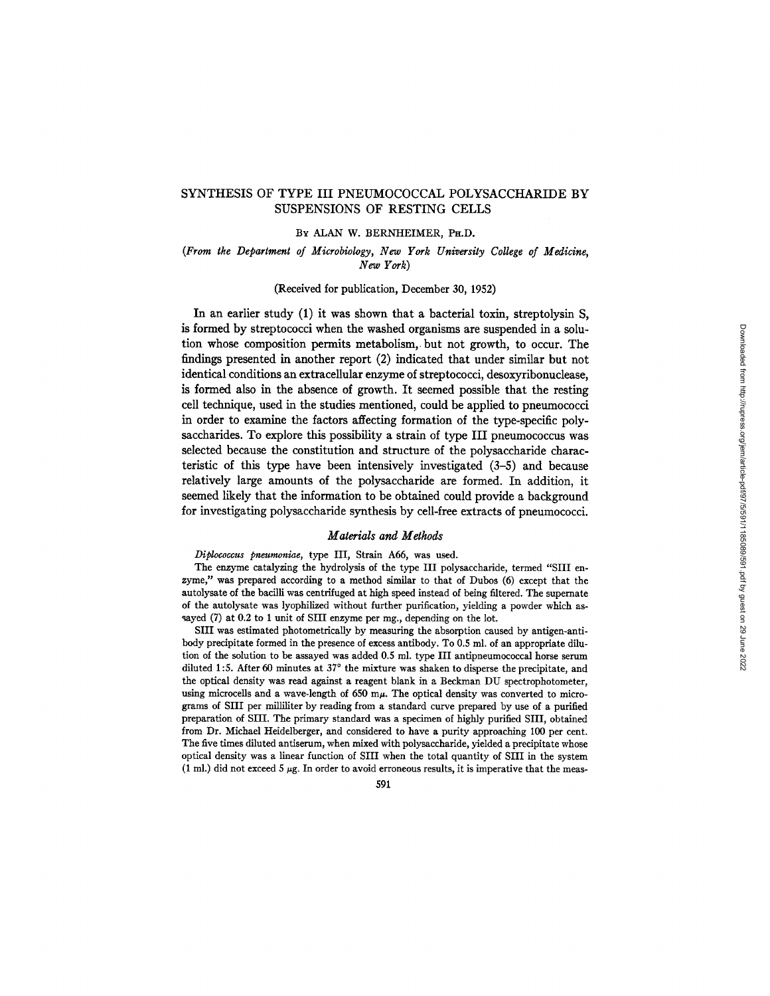## *(From the Department of Microbiology, New York University College of Medicine,*  **SUSPENSIONS OF RESTING CELLS**

#### BY ALAN W. BERNHEIMER, PH.D.

## (From the Department of Microbiology, New York University College of Medicine,  $New York$

(Received for publication, December 30, 1952)

In an earlier study (1) it was shown that a bacterial toxin, streptolysin S. is formed by streptococci when the washed organisms are suspended in a solution whose composition permits metabolism, but not growth, to occur. The findings presented in another report  $(2)$  indicated that under similar but not identical conditions an extracellular enzyme of streptococci, desoxyribonuclease, is formed also in the absence of growth. It seemed possible that the resting cell technique, used in the studies mentioned, could be applied to pneumococci in order to examine the factors affecting formation of the type-specific polysaccharides. To explore this possibility a strain of type III pneumococcus was selected because the constitution and structure of the polysaccharide characteristic of this type have been intensively investigated  $(3-5)$  and because relatively large amounts of the polysaccharide are formed. In addition, it seemed likely that the information to be obtained could provide a background *Diplocalize present present present present present* present present present present present present present present present present present present present present present present present present present present present the extracts of physical the synthesis by cell-free extracts of pheumococci.

#### $z = \frac{1}{2}$  $\mu$  autorials and  $\mu$  emods

Diplococcus pneumoniae, type III, Strain A66, was used.

The enzyme catalyzing the hydrolysis of the type III polysaccharide, termed "SIII enzyme," was prepared according to a method similar to that of Dubos (6) except that the autolysate of the bacilli was centrifuged at high speed instead of being filtered. The supernate of the autolysate was lyophilized without further purification, yielding a powder which assayed (7) at 0.2 to 1 unit of SIII enzyme per mg., depending on the lot.

SIII was estimated photometrically by measuring the absorption caused by antigen-antibody precipitate formed in the presence of excess antibody. To 0.5 ml. of an appropriate dilution of the solution to be assayed was added 0.5 ml. type III antipneumococcal horse serum diluted 1:5. After 60 minutes at  $37^{\circ}$  the mixture was shaken to disperse the precipitate, and the optical density was read against a reagent blank in a Beckman DU spectrophotometer. using microcells and a wave-length of 650 m $\mu$ . The optical density was converted to micrograms of SIII per milliliter by reading from a standard curve prepared by use of a purified preparation of SIII. The primary standard was a specimen of highly purified SIII, obtained from Dr. Michael Heidelberger, and considered to have a purity approaching 100 per cent. The five times diluted antiserum, when mixed with polysaccharide, yielded a precipitate whose optical density was a linear function of SIII when the total quantity of SIII in the system (1 ml.) did not exceed 5  $\mu$ g. In order to avoid erroneous results, it is imperative that the meas-

591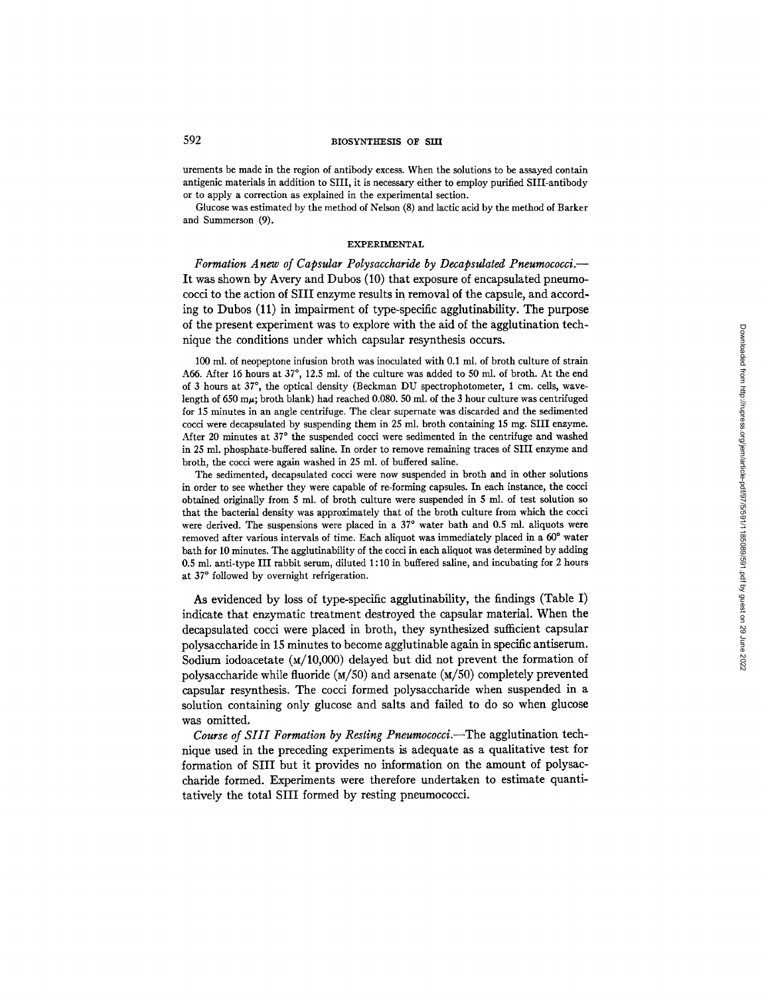## 592 **BIOSYNTHESIS OF SIII**

urements be made in the region of antibody excess. When the solutions to be assayed contain antigenic materials in addition to SIII, it is necessary either to employ purified SIII-antibody or to apply a correction as explained in the experimental section.

Glucose was estimated by the method of Nelson (8) and lactic acid by the method of Barker and Summerson (9).

### EXPERIMENTAL

*Formation A new of Capsular Polysaccharide by Decapsulated Pneumococci.--*  It was shown by Avery and Dubos (10) that exposure of encapsulated pneumococci to the action of SIII enzyme results in removal of the capsule, and according to Dubos (11) in impairment of type-specific agglutinability. The purpose of the present experiment was to explore with the aid of the agglutination technique the conditions under which capsular resynthesis occurs.

100 ml. of neopeptone infusion broth was inoculated with 0.1 ml. of broth culture of strain A66. After 16 hours at  $37^{\circ}$ , 12.5 ml. of the culture was added to 50 ml. of broth. At the end of 3 hours at 37°, the optical density (Beckman DU spectrophotometer, 1 cm. cells, wavelength of 650 m $\mu$ ; broth blank) had reached 0.080. 50 ml. of the 3 hour culture was centrifuged for 15 minutes in an angle centrifuge. The clear supernate was discarded and the sedimented cocci were decapsulated by suspending them in 25 nil. broth containing 15 mg. SIII enzyme. After 20 minutes at 37° the suspended cocci were sedimented in the centrifuge and washed in 25 ml. phosphate-buffered saline. In order to remove remaining traces of SIII enzyme and broth, the cocci were again washed in 25 ml. of buffered saline.

The sedimented, decapsulated cocci were now suspended in broth and in other solutions in order to see whether they were capable of re-forming capsules. In each instance, the cocci obtained originally from 5 ml. of broth culture were suspended in 5 ml. of test solution so that the bacterial density was approximately that of the broth culture from which the cocci were derived. The suspensions were placed in a  $37^{\circ}$  water bath and 0.5 ml. aliquots were removed after various intervals of time. Each aliquot was immediately placed in a 60° water bath for 10 minutes. The agglutinability of the cocci in each aliquot was determined by adding 0.5 mi. anti-type III rabbit serum, diluted 1 : 10 in buffered saline, and incubating for 2 hours at 37° followed by overnight refrigeration.

As evidenced by loss of type-specific agglutinability, the findings (Table I) indicate that enzymatic treatment destroyed the capsular material. When the decapsulated cocci were placed in broth, they synthesized sufficient capsular polysaccharide in 15 minutes to become agglutinable again in specific antiserum. Sodium iodoacetate  $(M/10,000)$  delayed but did not prevent the formation of polysaccharide while fluoride  $(M/50)$  and arsenate  $(M/50)$  completely prevented capsular resynthesis. The cocci formed polysaccharide when suspended in a solution containing only glucose and salts and failed to do so when glucose was omitted.

*Course of SIII Formation by Resting Pneumococci.*—The agglutination technique used in the preceding experiments is adequate as a qualitative test for formation of SIII but it provides no information on the amount of polysaccharide formed. Experiments were therefore undertaken to estimate quantitatively the total SIII formed by resting pneumococci.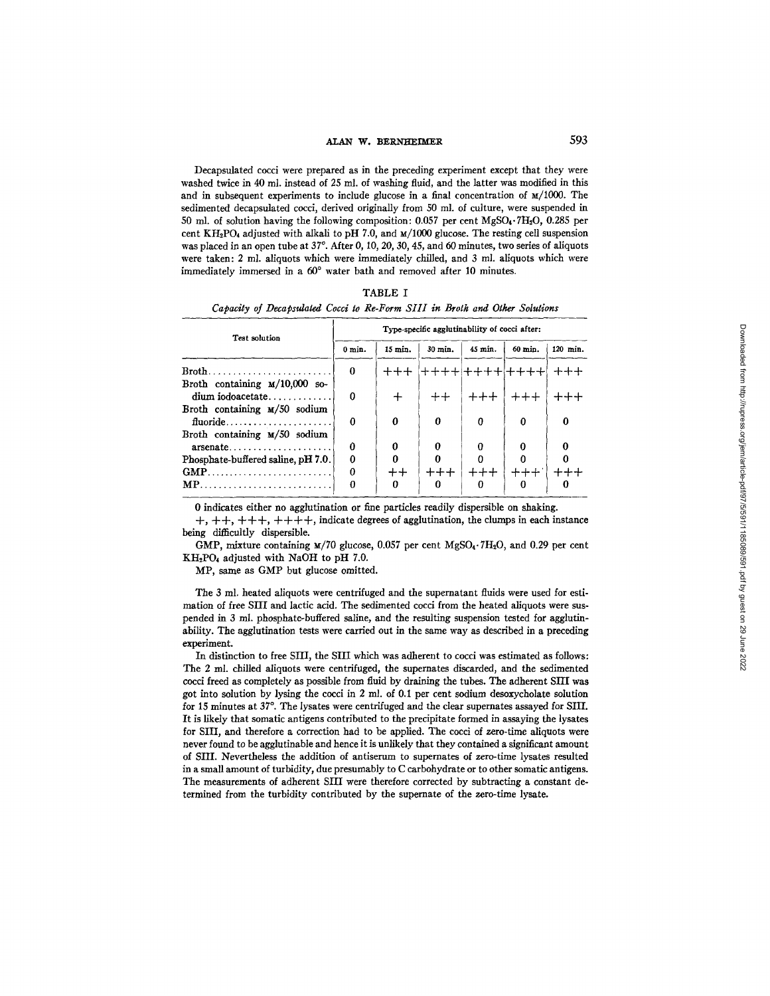## ALAN W. BERNHEIMER 593

Decapsulated cocci were prepared as in the preceding experiment except that they were washed twice in 40 ml. instead of 25 ml. of washing fluid, and the latter was modified in this and in subsequent experiments to include glucose in a final concentration of  $M/1000$ . The sedimented decapsulated cocci, derived originally from 50 ml. of culture, were suspended in 50 ml. of solution having the following composition: 0.057 per cent MgSO4.TH20, 0.285 per cent KH<sub>2</sub>PO<sub>4</sub> adjusted with alkali to pH 7.0, and  $M/1000$  glucose. The resting cell suspension was placed in an open tube at  $37^{\circ}$ . After 0, 10, 20, 30, 45, and 60 minutes, two series of aliquots were taken: 2 ml. aiiquots which were immediately chilled, and 3 ml. aliquots which were immediately immersed in a 60° water bath and removed after 10 minutes.

|                                                                             | TABLE I |  |  |  |  |
|-----------------------------------------------------------------------------|---------|--|--|--|--|
| Capacity of Decapsulated Cocci to Re-Form SIII in Broth and Other Solutions |         |  |  |  |  |

| Test solution                                                                              | Type-specific agglutinability of cocci after: |           |         |         |           |          |  |  |
|--------------------------------------------------------------------------------------------|-----------------------------------------------|-----------|---------|---------|-----------|----------|--|--|
|                                                                                            | $0$ min.                                      | $15$ min. | 30 min. | 45 min. | 60 min.   | 120 min. |  |  |
| Broth                                                                                      | 0                                             | $+++$     | +++++   |         | +++++++++ |          |  |  |
| Broth containing $\frac{M}{10,000}$ so-<br>$\dim$ iodoacetate                              | Ω                                             | $^{+}$    | $^{++}$ | $++++$  | $++++$    |          |  |  |
| Broth containing $M/50$ sodium                                                             | Ω                                             | $\Omega$  | 0       | 0       | 0         | 0        |  |  |
| $fluoride, \ldots, \ldots, \ldots, \ldots, \ldots, \ldots$<br>Broth containing M/50 sodium |                                               |           |         |         |           |          |  |  |
| $\alpha$ rsenate                                                                           | 0                                             | 0         |         |         | 0         | 0        |  |  |
| Phosphate-buffered saline, pH 7.0.                                                         | Ω                                             |           |         |         |           |          |  |  |
| $GMP$                                                                                      | n                                             | $^{++}$   |         |         |           |          |  |  |
| $MP$                                                                                       |                                               |           | o       | 0       | 0         |          |  |  |

0 indicates either no agglutination or fine particles readily dispersible on shaking.

 $+, ++, +++, +++$ , indicate degrees of agglutination, the clumps in each instance being difficultly dispersible.

GMP, mixture containing  $\frac{M}{70}$  glucose, 0.057 per cent MgSO<sub>4</sub>.7H<sub>2</sub>O, and 0.29 per cent  $KH<sub>2</sub>PO<sub>4</sub>$  adjusted with NaOH to pH 7.0.

MP, same as GMP but glucose omitted.

The 3 ml. heated aliquots were centrifuged and the supernatant fluids were used for estimation of free SIII and lactic acid. The sedimented cocci from the heated aliquots were suspended in 3 ml. phosphate-buffered saline, and the resulting suspension tested for agglutinability. The agglutination tests were carried out in the same way as described in a preceding experiment.

In distinction to free SIII, the SIII which was adherent to cocci was estimated as follows: The 2 ml. chilled aiiquots were centrifuged, the supernates discarded, and the sedimented cocci freed as completely as possible from fluid by draining the tubes. The adherent SIII was got into solution by lysing the cocci in 2 mL of 0.1 per cent sodium desoxycholate solution for 15 minutes at 37°. The lysates were centrifuged and the clear supernates assayed for SIII. It is likely that somatic antigens contributed to the precipitate formed in assaying the lysates for SIII, and therefore a correction had to be applied. The cocci of zero-time aliquots were never found to be agglutinable and hence it is unlikely that they contained a significant amount of SIII. Nevertheless the addition of antiserum to supernates of zero-time lysates resulted in a small amount of turbidity, due presumably to C carbohydrate or to other somatic antigens. The measurements of adherent SIII were therefore corrected by subtracting a constant determined from the turbidity contributed by the supernate of the zero-time lysate.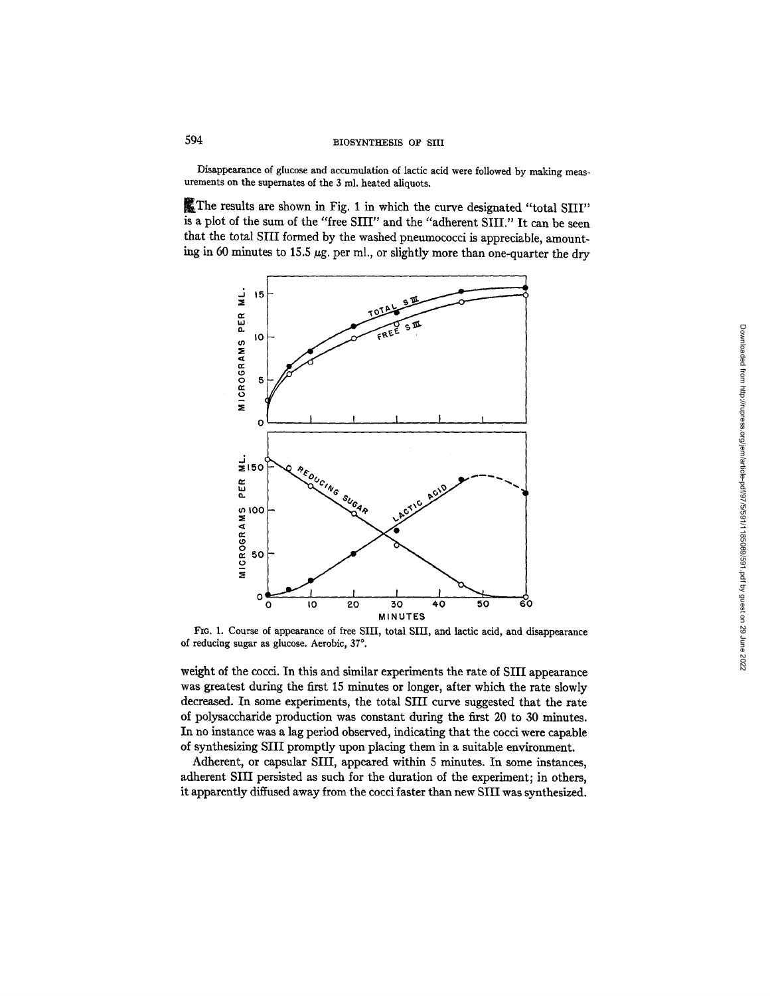# 594 BIOSYNTHESIS OF SIII

Disappearance of glucose and accumulation of lactic acid were followed by making measurements on the supernates of the 3 ml. heated aliquots.

~The results are shown in Fig. 1 in which the curve designated "total SIII" is a plot of the sum of the "free SIII" and the "adherent SIII." It can be seen that the total SIII formed by the washed pneumococci is appreciable, amounting in 60 minutes to 15.5  $\mu$ g. per ml., or slightly more than one-quarter the dry



FIo. 1. Course of appearance of free SIH, total \$III, and lactic acid, and disappearance of reducing sugar as glucose. Aerobic, 37°.

weight of the cocci. In this and similar experiments the rate of SIII appearance was greatest during the first 15 minutes or longer, after which the rate slowly decreased. In some experiments, the total SIII curve suggested that the rate of polysaccharide production was constant during the first 20 to 30 minutes. In no instance was a lag period observed, indicating that the cocci were capable of synthesizing SHI promptly upon placing them in a suitable environment.

Adherent, or capsular SIII, appeared within 5 minutes. In some instances, adherent SIII persisted as such for the duration of the experiment; in others, it apparently diffused away from the cocci faster than new SIII was synthesized.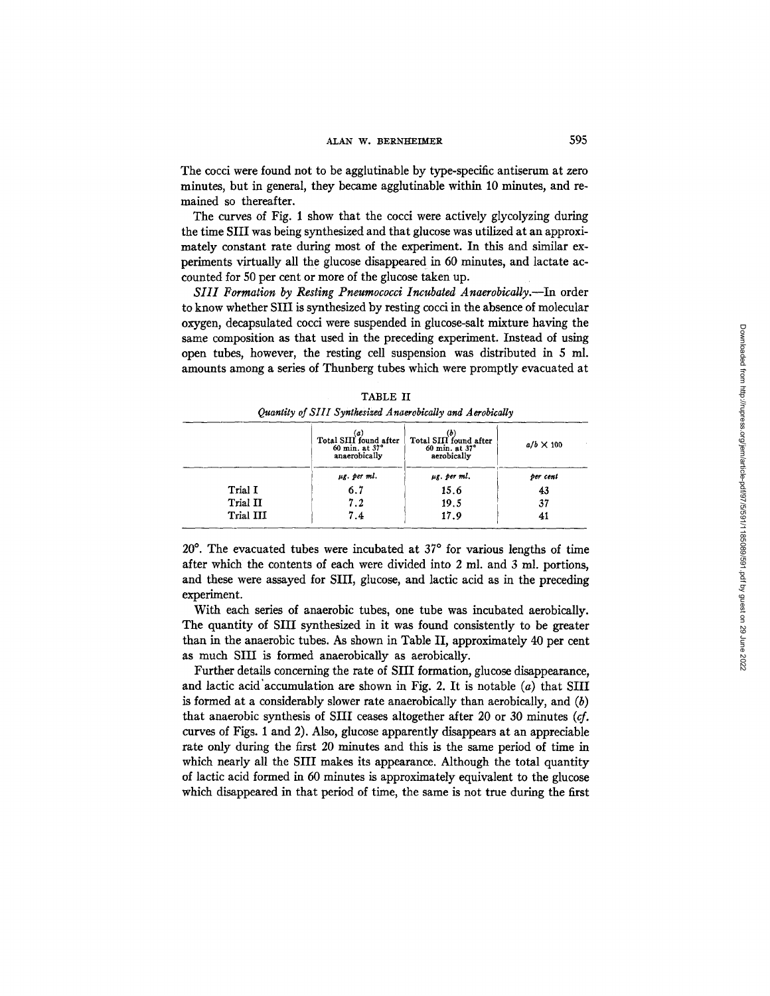The cocci were found not to be agglutinable by type-specific antiserum at zero minutes, but in general, they became agglutinable within 10 minutes, and remained so thereafter.

The curves of Fig. 1 show that the cocci were actively glycolyzing during the time SIII was being synthesized and that glucose was utilized at an approximately constant rate during most of the experiment. In this and similar experiments virtually all the glucose disappeared in 60 minutes, and lactate accounted for 50 per cent or more of the glucose taken up.

*SIlI Formation by Resting Pneumococci Incubated Anaerobically.--In* order to know whether SIII is synthesized by resting cocci in the absence of molecular oxygen, decapsulated cocci were suspended in glucose-salt mixture having the same composition as that used in the preceding experiment. Instead of using open tubes, however, the resting cell suspension was distributed in 5 ml. amounts among a series of Thunberg tubes which were promptly evacuated at

|           | $_{\text{Total SIII found after}}^{(a)}$<br>60 min. at 37°<br>anaerobically | (b)<br>Total SIII found after<br>60 min. at 37°<br>aerobically | $a/b \times 100$ |
|-----------|-----------------------------------------------------------------------------|----------------------------------------------------------------|------------------|
|           | µg. per ml.                                                                 | $\mu$ g. per ml.                                               | per cent         |
| Trial I   | 6.7                                                                         | 15.6                                                           | 43               |
| Trial II  | 7.2                                                                         | 19.5                                                           | 37               |
| Trial III | 7.4                                                                         | 17.9                                                           | 41               |

|  | TABLE II                                                   |  |
|--|------------------------------------------------------------|--|
|  | Quantity of SIII Synthesized Anaerobically and Aerobically |  |

 $20^{\circ}$ . The evacuated tubes were incubated at  $37^{\circ}$  for various lengths of time after which the contents of each were divided into 2 ml. and 3 ml. portions, and these were assayed for SIII, glucose, and lactic acid as in the preceding experiment.

With each series of anaerobic tubes, one tube was incubated aerobically. The quantity of SIII synthesized in it was found consistently to be greater than in the anaerobic tubes. As shown in Table II, approximately 40 per cent as much SIII is formed anaerobically as aerobically.

Further details concerning the rate of SIII formation, glucose disappearance, and lactic acid accumulation are shown in Fig. 2. It is notable  $(a)$  that SIII is formed at a considerably slower rate anaerobically than aerobically, and  $(b)$ that anaerobic synthesis of SIII ceases altogether after 20 or 30 minutes *(cf.*  curves of Figs. 1 and 2). Also, glucose apparently disappears at an appreciable rate only during the first 20 minutes and this is the same period of time in which nearly all the SIII makes its appearance. Although the total quantity of lactic acid formed in 60 minutes is approximately equivalent to the glucose which disappeared in that period of time, the same is not true during the first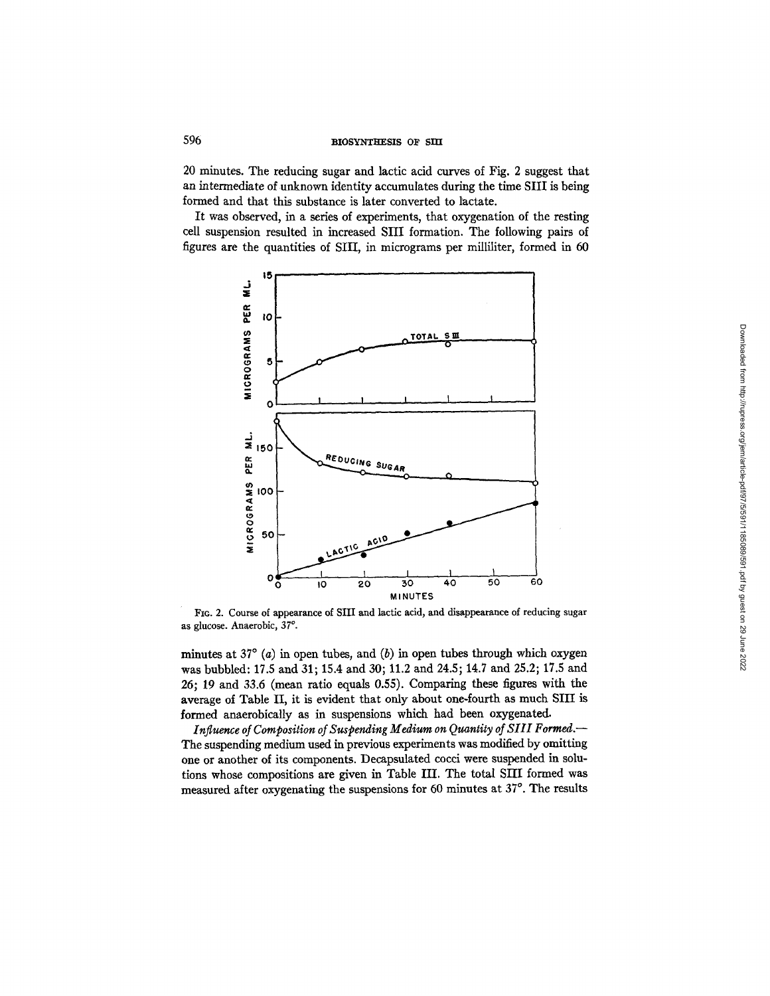# 596 BIOSYNTHESIS OF SIT

20 minutes. The reducing sugar and lactic acid curves of Fig. 2 suggest that an intermediate of unknown identity accumulates during the time SIII is being formed and that this substance is later converted to lactate.

It was observed, in a series of experiments, that oxygenation of the resting cell suspension resulted in increased SIII formation. The following pairs of figures are the quantities of SIII, in micrograms per milliliter, formed in 60



FIO. 2. Course of appearance of SIII and lactic acid, and disappearance of reducing sugar as glucose. Anaerobic, 37°.

minutes at 37 $\degree$  (*a*) in open tubes, and (*b*) in open tubes through which oxygen was bubbled: 17.5 and 31; 15.4 and 30; 11.2 and 24.5; 14.7 and 25.2; 17.5 and 26; 19 and 33.6 (mean ratio equals 0.55). Comparing these figures with the average of Table II, it is evident that only about one-fourth as much SIII is formed anaerobically as in suspensions which had been oxygenated.

*Influence of Composition of Suspending Medium on Quantity of Sill Formed.--*  The suspending medium used in previous experiments was modified by omitting one or another of its components. Decapsulated cocci were suspended in solutions whose compositions are given in Table III. The total SIII formed was measured after oxygenating the suspensions for 60 minutes at 37°. The results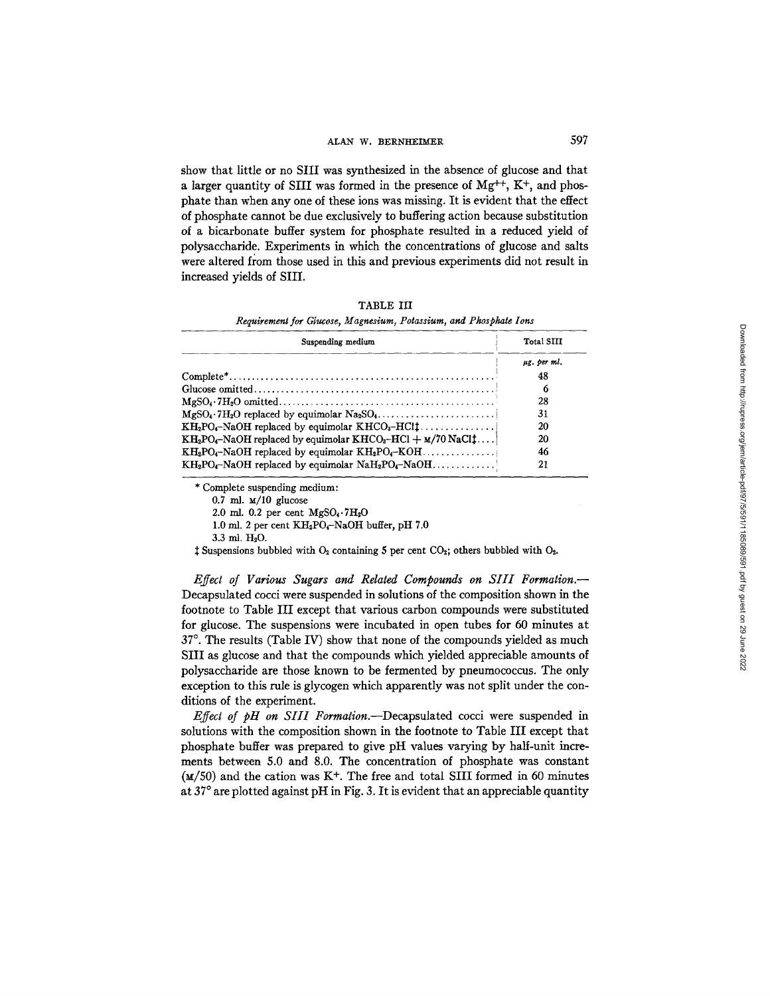## ALAN W. BERNHEIMER 597

show that little or no SIII was synthesized in the absence of glucose and that a larger quantity of SIII was formed in the presence of  $Mg^{++}$ , K<sup>+</sup>, and phosphate than when any one of these ions was missing. It is evident that the effect of phosphate cannot be due exclusively to buffering action because substitution of a bicarbonate buffer system for phosphate resulted in a reduced yield of polysaccharide. Experiments in which the concentrations of glucose and salts were altered from those used in this and previous experiments did not result in increased yields of SIII.

*Requirement for Glucose, Magnesium, Potassium, and Phosphate Ions* 

| Suspending medium                                                                | Total SIII  |
|----------------------------------------------------------------------------------|-------------|
|                                                                                  | ug, per ml. |
|                                                                                  | 48          |
|                                                                                  | đ           |
|                                                                                  | 28          |
|                                                                                  | 31          |
| $KH_2PO_4$ -NaOH replaced by equimolar $KHCO_3$ -HCl $\ddagger$                  | 20          |
| $KH_2PO_4$ -NaOH replaced by equimolar $KHCO_3$ -HCl + $\mu$ /70 NaCl $\ddagger$ | 20          |
| $KH_2PO_4-NaOH$ replaced by equimolar $KH_2PO_4-KOH$                             | 46          |
| $KH_2PO_4-NaOH$ replaced by equimolar $NaH_2PO_4-NaOH$                           | 21          |

\* Complete suspending medium:

 $0.7$  ml.  $M/10$  glucose

2.0 ml. 0.2 per cent  $MgSO_4 \tcdot 7H_2O$ 

1.0 ml. 2 per cent  $KH_2PO_4-NaOH$  buffer, pH 7.0

 $3.3$  ml.  $H_2O$ .

 $\ddagger$  Suspensions bubbled with  $O_2$  containing 5 per cent CO<sub>2</sub>; others bubbled with  $O_2$ .

*Effect of Various Sugars and Related Compounds on SIII Formation.--*  Decapsulated cocci were suspended in solutions of the composition shown in the footnote to Table III except that various carbon compounds were substituted for glucose. The suspensions were incubated in open tubes for 60 minutes at  $37^\circ$ . The results (Table IV) show that none of the compounds yielded as much SIII as glucose and that the compounds which yielded appreciable amounts of polysaccharide are those known to be fermented by pneumococcus. The only exception to this rule is glycogen which apparently was not split under the conditions of the experiment.

*Effect of pH on SIII Formalion.--Decapsulated* cocci were suspended in solutions with the composition shown in the footnote to Table III except that phosphate buffer was prepared to give pH values varying by half-unit increments between 5.0 and 8.0. The concentration of phosphate was constant  $(M/50)$  and the cation was K<sup>+</sup>. The free and total SIII formed in 60 minutes at  $37^\circ$  are plotted against pH in Fig. 3. It is evident that an appreciable quantity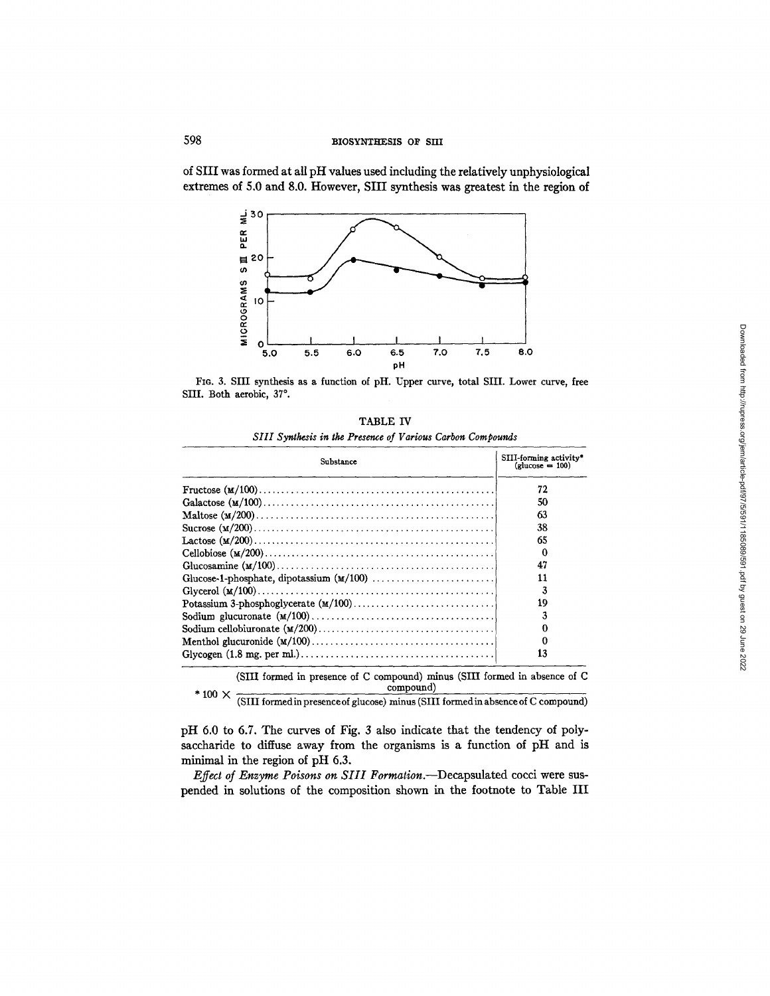of SIII was formed at all pH values used including the relatively unphysiological extremes of 5.0 and 8.0. However, SIII synthesis was greatest in the region of



FIG. 3. SIII synthesis as a function of pH. Upper curve, total SHI. Lower curve, free SIII. Both aerobic, 37°.

| TABLE IV                                                   |  |
|------------------------------------------------------------|--|
| SIII Synthesis in the Presence of Various Carbon Compounds |  |

| Substance                                                                                              | SIII-forming activity*<br>$\text{(glucose} = 100)$ |  |
|--------------------------------------------------------------------------------------------------------|----------------------------------------------------|--|
|                                                                                                        | 72                                                 |  |
|                                                                                                        | 50                                                 |  |
|                                                                                                        | 63                                                 |  |
|                                                                                                        | 38                                                 |  |
|                                                                                                        | 65                                                 |  |
|                                                                                                        | 0                                                  |  |
|                                                                                                        | 47                                                 |  |
|                                                                                                        | 11                                                 |  |
|                                                                                                        | 3                                                  |  |
|                                                                                                        | 19                                                 |  |
|                                                                                                        |                                                    |  |
|                                                                                                        |                                                    |  |
|                                                                                                        | o                                                  |  |
| Glycogen $(1.8 \text{ mg. per ml.}) \dots \dots \dots \dots \dots \dots \dots \dots \dots \dots \dots$ | 13                                                 |  |
| $\overline{a}$                                                                                         |                                                    |  |

(SIII formed in presence of C compound) minus (SIII formed in absence of C  $*$  100  $\times$  compound)

(SIII formed in presence of glucose) minus (SIII formed in absence of C compound)

pH 6.0 to 6.7. The curves of Fig. 3 also indicate that the tendency of polysaccharide to diffuse away from the organisms is a function of pH and is minimal in the region of pH 6.3.

*Effect of Enzyme Poisons on Sill Formation.--Decapsulated* cocci were suspended in solutions of the composition shown in the footnote to Table III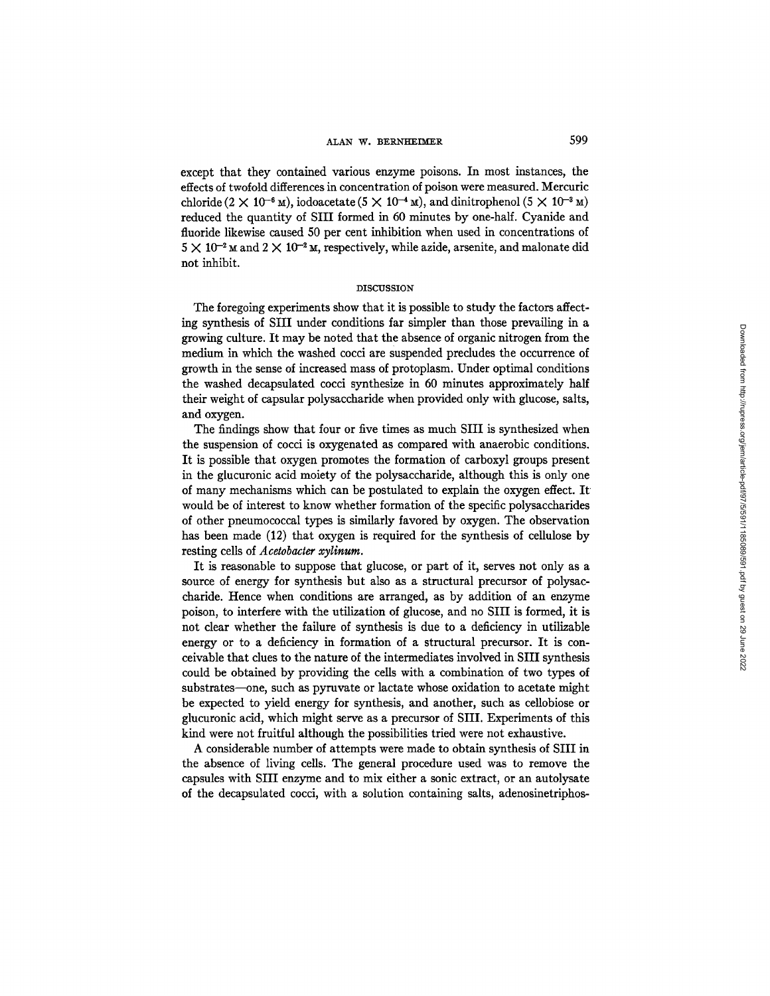except that they contained various enzyme poisons. In most instances, the effects of twofold differences in concentration of poison were measured. Mercuric chloride (2  $\times$  10<sup>-6</sup> M), iodoacetate (5  $\times$  10<sup>-4</sup> M), and dinitrophenol (5  $\times$  10<sup>-3</sup> M) reduced the quantity of SIII formed in 60 minutes by one-half. Cyanide and fluoride likewise caused 50 per cent inhibition when used in concentrations of  $5 \times 10^{-2}$  M and  $2 \times 10^{-2}$  M, respectively, while azide, arsenite, and malonate did not inhibit.

### **DISCUSSION**

The foregoing experiments show that it is possible to study the factors affecting synthesis of SIII under conditions far simpler than those prevailing in a growing culture. It may be noted that the absence of organic nitrogen from the medium in which the washed cocci are suspended precludes the occurrence of growth in the sense of increased mass of protoplasm. Under optimal conditions the washed decapsulated cocci synthesize in 60 minutes approximately half their weight of capsular polysaccharide when provided only with glucose, salts, and oxygen.

The findings show that four or five times as much SIII is synthesized when the suspension of cocci is oxygenated as compared with anaerobic conditions. It is possible that oxygen promotes the formation of carboxyl groups present in the glucuronic acid moiety of the polysaccharide, although this is only one of many mechanisms which can be postulated to explain the oxygen effect. It would be of interest to know whether formation of the specific polysaccharides of other pneumococcal types is similarly favored by oxygen. The observation has been made (12) that oxygen is required for the synthesis of cellulose by resting cells of *Acetobacter xylinum.* 

It is reasonable to suppose that glucose, or part of it, serves not only as a source of energy for synthesis but also as a structural precursor of polysaccharide. Hence when conditions are arranged, as by addition of an enzyme poison, to interfere with the utilization of glucose, and no SIH is formed, it is not clear whether the failure of synthesis is due to a deficiency in utilizable energy or to a deficiency in formation of a structural precursor. It is conceivable that clues to the nature of the intermediates involved in SIII synthesis could be obtained by providing the cells with a combination of two types of substrates—one, such as pyruvate or lactate whose oxidation to acetate might be expected to yield energy for synthesis, and another, such as cellobiose or glucuronic acid, which might serve as a precursor of SIII. Experiments of this kind were not fruitful although the possibilities tried were not exhaustive.

A considerable number of attempts were made to obtain synthesis of SIII in the absence of living cells. The general procedure used was to remove the capsules with SIII enzyme and to mix either a sonic extract, or an autolysate of the decapsulated cocci, with a solution containing salts, adenosinetriphos-